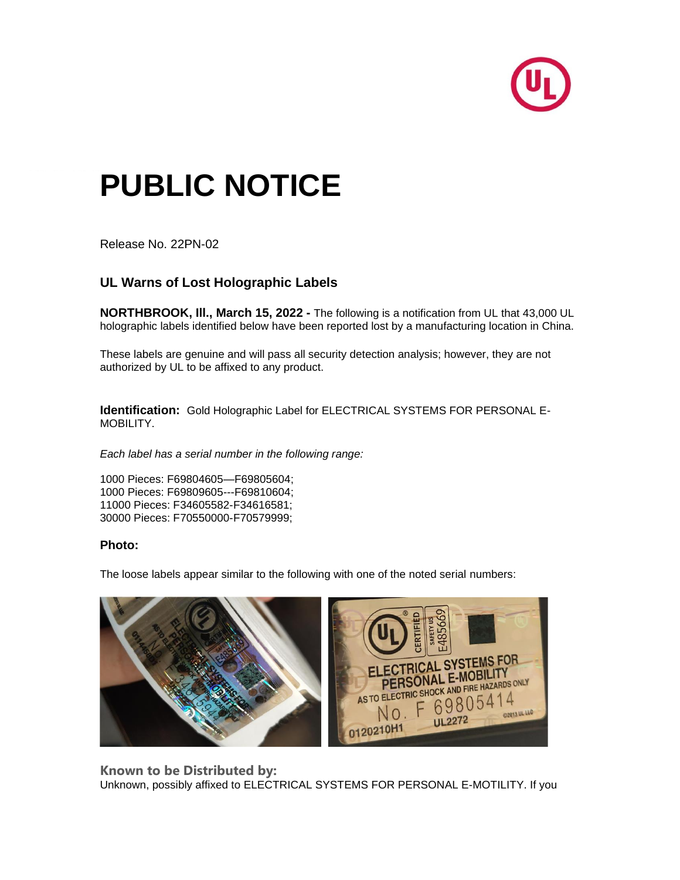

## **PUBLIC NOTICE**

Release No. 22PN-02

## **UL Warns of Lost Holographic Labels**

**NORTHBROOK, Ill., March 15, 2022 -** The following is a notification from UL that 43,000 UL holographic labels identified below have been reported lost by a manufacturing location in China.

These labels are genuine and will pass all security detection analysis; however, they are not authorized by UL to be affixed to any product.

**Identification:** Gold Holographic Label for ELECTRICAL SYSTEMS FOR PERSONAL E-MOBILITY.

*Each label has a serial number in the following range:*

1000 Pieces: F69804605—F69805604; 1000 Pieces: F69809605---F69810604; 11000 Pieces: F34605582-F34616581; 30000 Pieces: F70550000-F70579999;

## **Photo:**

The loose labels appear similar to the following with one of the noted serial numbers:



**Known to be Distributed by:** Unknown, possibly affixed to ELECTRICAL SYSTEMS FOR PERSONAL E-MOTILITY. If you